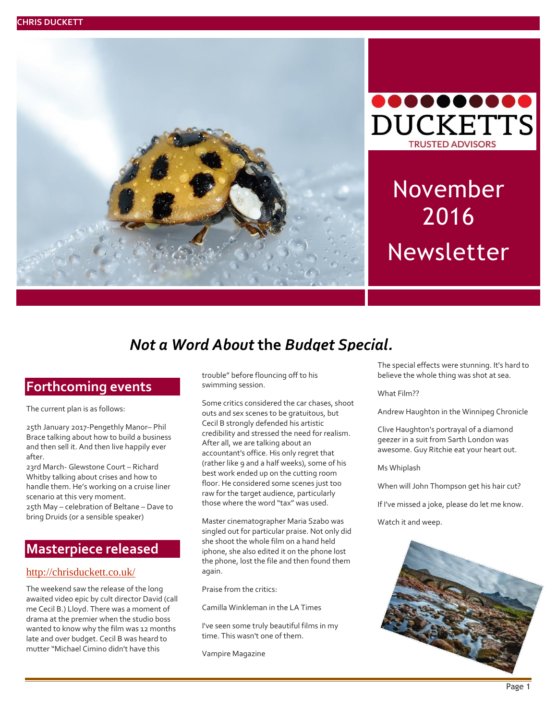



# November 2016 Newsletter

# *Not a Word About* **the** *Budget Special.*

### **Forthcoming events**

The current plan is as follows:<br>

25th January 2017-Pengethly Manor– Phil Brace talking about how to build a business and then sell it. And then live happily ever after.

23rd March- Glewstone Court – Richard Whitby talking about crises and how to handle them. He's working on a cruise liner scenario at this very moment. 25th May – celebration of Beltane – Dave to bring Druids (or a sensible speaker)

### **Masterpiece released**

#### <http://chrisduckett.co.uk/>

The weekend saw the release of the long awaited video epic by cult director David (call me Cecil B.) Lloyd. There was a moment of drama at the premier when the studio boss wanted to know why the film was 12 months late and over budget. Cecil B was heard to mutter "Michael Cimino didn't have this

trouble" before flouncing off to his swimming session.

Some critics considered the car chases, shoot outs and sex scenes to be gratuitous, but Cecil B strongly defended his artistic credibility and stressed the need for realism. After all, we are talking about an accountant's office. His only regret that (rather like 9 and a half weeks), some of his best work ended up on the cutting room floor. He considered some scenes just too raw for the target audience, particularly those where the word "tax" was used.

Master cinematographer Maria Szabo was singled out for particular praise. Not only did she shoot the whole film on a hand held iphone, she also edited it on the phone lost the phone, lost the file and then found them again.

Praise from the critics:

Camilla Winkleman in the LA Times

I've seen some truly beautiful films in my time. This wasn't one of them.

Vampire Magazine

The special effects were stunning. It's hard to believe the whole thing was shot at sea.

What Film??

Andrew Haughton in the Winnipeg Chronicle

Clive Haughton's portrayal of a diamond geezer in a suit from Sarth London was awesome. Guy Ritchie eat your heart out.

Ms Whiplash

When will John Thompson get his hair cut?

If I've missed a joke, please do let me know.

Watch it and weep.

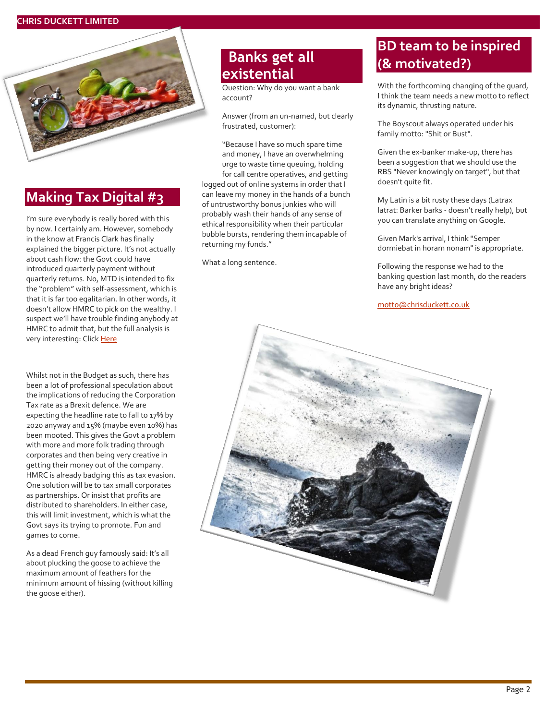

### **Making Tax Digital #3**

I'm sure everybody is really bored with this by now. I certainly am. However, somebody in the know at Francis Clark has finally explained the bigger picture. It's not actually about cash flow: the Govt could have introduced quarterly payment without quarterly returns. No, MTD is intended to fix the "problem" with self-assessment, which is that it is far too egalitarian. In other words, it doesn't allow HMRC to pick on the wealthy. I suspect we'll have trouble finding anybody at HMRC to admit that, but the full analysis is very interesting: Clic[k Here](http://bit.ly/2gRcYB1)

Whilst not in the Budget as such, there has been a lot of professional speculation about the implications of reducing the Corporation Tax rate as a Brexit defence. We are expecting the headline rate to fall to 17% by 2020 anyway and 15% (maybe even 10%) has been mooted. This gives the Govt a problem with more and more folk trading through corporates and then being very creative in getting their money out of the company. HMRC is already badging this as tax evasion. One solution will be to tax small corporates as partnerships. Or insist that profits are distributed to shareholders. In either case, this will limit investment, which is what the Govt says its trying to promote. Fun and games to come.

As a dead French guy famously said: It's all about plucking the goose to achieve the maximum amount of feathers for the minimum amount of hissing (without killing the goose either).

# **Banks get all existential**

Question: Why do you want a bank account?

Answer (from an un-named, but clearly frustrated, customer):

"Because I have so much spare time and money, I have an overwhelming urge to waste time queuing, holding for call centre operatives, and getting logged out of online systems in order that I can leave my money in the hands of a bunch of untrustworthy bonus junkies who will probably wash their hands of any sense of ethical responsibility when their particular bubble bursts, rendering them incapable of returning my funds."

What a long sentence.

## **BD team to be inspired (& motivated?)**

With the forthcoming changing of the guard, I think the team needs a new motto to reflect its dynamic, thrusting nature.

The Boyscout always operated under his family motto: "Shit or Bust".

Given the ex-banker make-up, there has been a suggestion that we should use the RBS "Never knowingly on target", but that doesn't quite fit.

My Latin is a bit rusty these days (Latrax latrat: Barker barks - doesn't really help), but you can translate anything on Google.

Given Mark's arrival, I think "Semper dormiebat in horam nonam" is appropriate.

Following the response we had to the banking question last month, do the readers have any bright ideas?

[motto@chrisduckett.co.uk](mailto:motto@chrisduckett.co.uk)

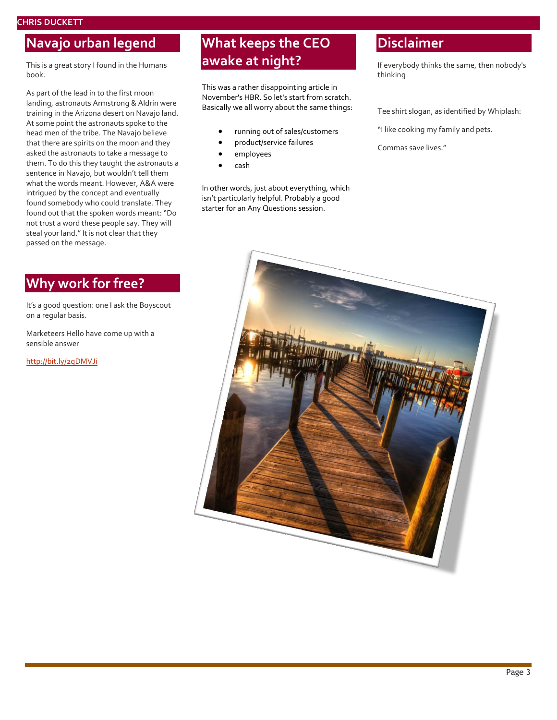#### **CHRIS DUCKETT**

### **Navajo urban legend**

This is a great story I found in the Humans book.

As part of the lead in to the first moon landing, astronauts Armstrong & Aldrin were training in the Arizona desert on Navajo land. At some point the astronauts spoke to the head men of the tribe. The Navajo believe that there are spirits on the moon and they asked the astronauts to take a message to them. To do this they taught the astronauts a sentence in Navajo, but wouldn't tell them what the words meant. However, A&A were intrigued by the concept and eventually found somebody who could translate. They found out that the spoken words meant: "Do not trust a word these people say. They will steal your land." It is not clear that they passed on the message.

### **Why work for free?**

It's a good question: one I ask the Boyscout on a regular basis.

Marketeers Hello have come up with a sensible answer

<http://bit.ly/2gDMVJi>

## **What keeps the CEO awake at night?**

This was a rather disappointing article in November's HBR. So let's start from scratch. Basically we all worry about the same things:

- running out of sales/customers
- product/service failures
- employees
- cash

In other words, just about everything, which isn't particularly helpful. Probably a good starter for an Any Questions session.

### **Disclaimer**

If everybody thinks the same, then nobody's thinking

Tee shirt slogan, as identified by Whiplash:

"I like cooking my family and pets.

Commas save lives."